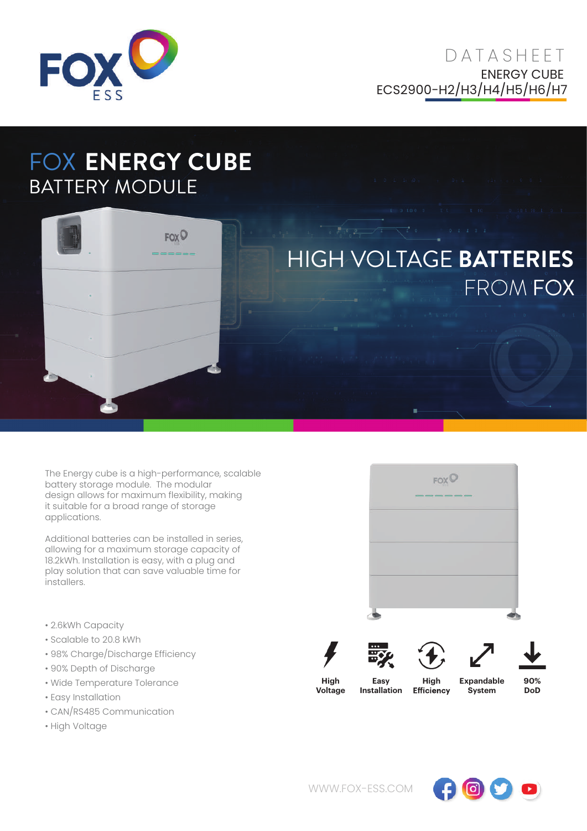

## FOX **ENERGY CUBE** BATTERY MODULE



The Energy cube is a high-performance, scalable battery storage module. The modular design allows for maximum flexibility, making it suitable for a broad range of storage applications.

Additional batteries can be installed in series, allowing for a maximum storage capacity of 18.2kWh. Installation is easy, with a plug and play solution that can save valuable time for installers.

- 2.6kWh Capacity
- Scalable to 20.8 kWh
- 98% Charge/Discharge Efficiency
- 90% Depth of Discharge
- Wide Temperature Tolerance
- Easy Installation
- CAN/RS485 Communication
- High Voltage